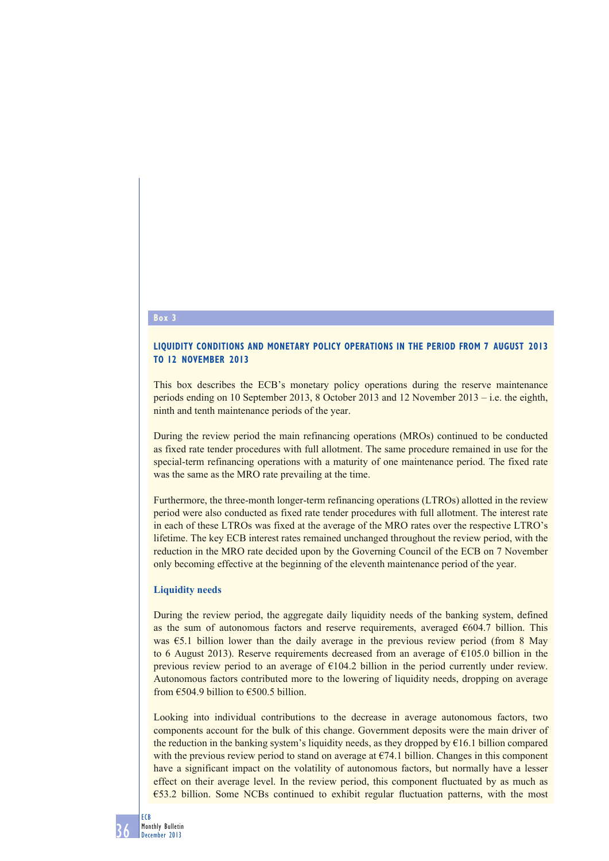### **Box 3**

## **LIQUIDITY CONDITIONS AND MONETARY POLICY OPERATIONS IN THE PERIOD FROM 7 AUGUST 2013 TO 12 NOVEMBER 2013**

This box describes the ECB's monetary policy operations during the reserve maintenance periods ending on 10 September 2013, 8 October 2013 and 12 November 2013 – i.e. the eighth, ninth and tenth maintenance periods of the year.

During the review period the main refinancing operations (MROs) continued to be conducted as fixed rate tender procedures with full allotment. The same procedure remained in use for the special-term refinancing operations with a maturity of one maintenance period. The fixed rate was the same as the MRO rate prevailing at the time.

Furthermore, the three-month longer-term refinancing operations (LTROs) allotted in the review period were also conducted as fixed rate tender procedures with full allotment. The interest rate in each of these LTROs was fixed at the average of the MRO rates over the respective LTRO's lifetime. The key ECB interest rates remained unchanged throughout the review period, with the reduction in the MRO rate decided upon by the Governing Council of the ECB on 7 November only becoming effective at the beginning of the eleventh maintenance period of the year.

#### **Liquidity needs**

During the review period, the aggregate daily liquidity needs of the banking system, defined as the sum of autonomous factors and reserve requirements, averaged  $\epsilon$ 604.7 billion. This was €5.1 billion lower than the daily average in the previous review period (from 8 May to 6 August 2013). Reserve requirements decreased from an average of  $\epsilon$ 105.0 billion in the previous review period to an average of €104.2 billion in the period currently under review. Autonomous factors contributed more to the lowering of liquidity needs, dropping on average from  $\epsilon$ 504.9 billion to  $\epsilon$ 500.5 billion.

Looking into individual contributions to the decrease in average autonomous factors, two components account for the bulk of this change. Government deposits were the main driver of the reduction in the banking system's liquidity needs, as they dropped by €16.1 billion compared with the previous review period to stand on average at  $E74.1$  billion. Changes in this component have a significant impact on the volatility of autonomous factors, but normally have a lesser effect on their average level. In the review period, this component fluctuated by as much as €53.2 billion. Some NCBs continued to exhibit regular fluctuation patterns, with the most

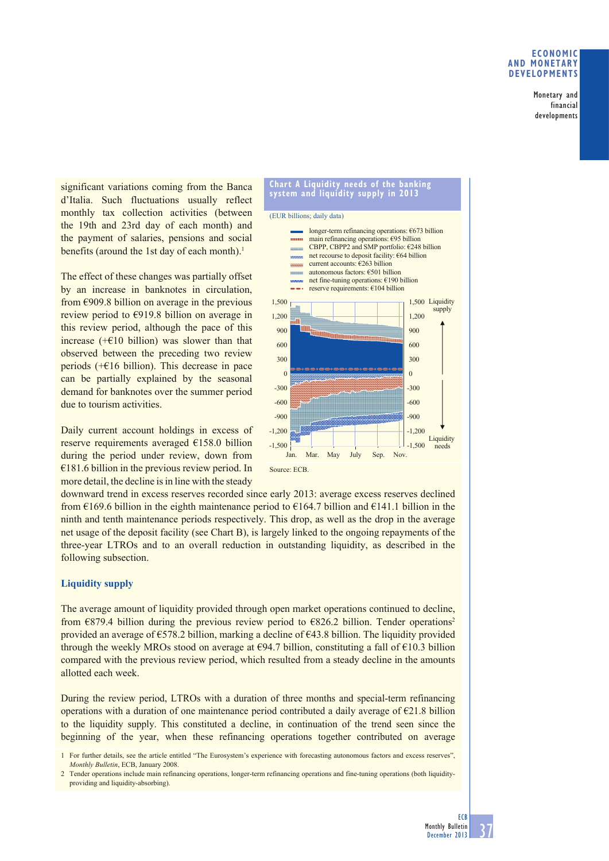### **ECONOMIC AND MONETARY DEVELOPMENTS**

Monetary and financial developments

significant variations coming from the Banca d'Italia. Such fluctuations usually reflect monthly tax collection activities (between the 19th and 23rd day of each month) and the payment of salaries, pensions and social benefits (around the 1st day of each month).<sup>1</sup>

The effect of these changes was partially offset by an increase in banknotes in circulation, from  $\epsilon$ 909.8 billion on average in the previous review period to €919.8 billion on average in this review period, although the pace of this increase  $(+\epsilon)$ 10 billion) was slower than that observed between the preceding two review periods  $(+\epsilon)$ 16 billion). This decrease in pace can be partially explained by the seasonal demand for banknotes over the summer period due to tourism activities.

Daily current account holdings in excess of reserve requirements averaged €158.0 billion during the period under review, down from  $€181.6$  billion in the previous review period. In more detail, the decline is in line with the steady



downward trend in excess reserves recorded since early 2013: average excess reserves declined from  $\epsilon$ 169.6 billion in the eighth maintenance period to  $\epsilon$ 164.7 billion and  $\epsilon$ 141.1 billion in the ninth and tenth maintenance periods respectively. This drop, as well as the drop in the average net usage of the deposit facility (see Chart B), is largely linked to the ongoing repayments of the three-year LTROs and to an overall reduction in outstanding liquidity, as described in the following subsection.

# **Liquidity supply**

The average amount of liquidity provided through open market operations continued to decline, from  $\epsilon$ 879.4 billion during the previous review period to  $\epsilon$ 826.2 billion. Tender operations<sup>2</sup> provided an average of  $\epsilon$ 578.2 billion, marking a decline of  $\epsilon$ 43.8 billion. The liquidity provided through the weekly MROs stood on average at  $\epsilon$ 94.7 billion, constituting a fall of  $\epsilon$ 10.3 billion compared with the previous review period, which resulted from a steady decline in the amounts allotted each week.

During the review period, LTROs with a duration of three months and special-term refinancing operations with a duration of one maintenance period contributed a daily average of  $\epsilon$ 21.8 billion to the liquidity supply. This constituted a decline, in continuation of the trend seen since the beginning of the year, when these refinancing operations together contributed on average

1 For further details, see the article entitled "The Eurosystem's experience with forecasting autonomous factors and excess reserves", *Monthly Bulletin*, ECB, January 2008.

2 Tender operations include main refinancing operations, longer-term refinancing operations and fine-tuning operations (both liquidityproviding and liquidity-absorbing).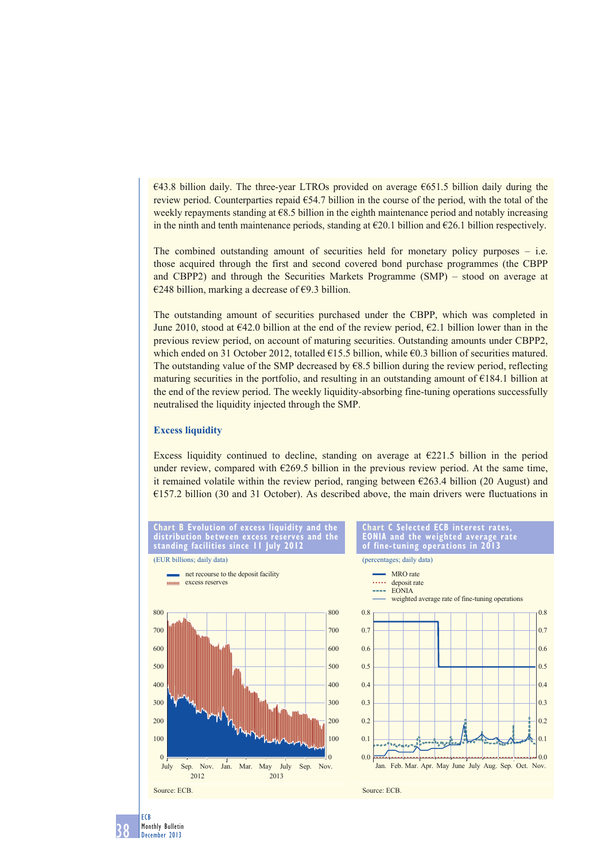$€43.8$  billion daily. The three-year LTROs provided on average  $€651.5$  billion daily during the review period. Counterparties repaid  $\epsilon$ 54.7 billion in the course of the period, with the total of the weekly repayments standing at  $\epsilon$ 8.5 billion in the eighth maintenance period and notably increasing in the ninth and tenth maintenance periods, standing at  $\epsilon$ 20.1 billion and  $\epsilon$ 26.1 billion respectively.

The combined outstanding amount of securities held for monetary policy purposes – i.e. those acquired through the first and second covered bond purchase programmes (the CBPP and CBPP2) and through the Securities Markets Programme (SMP) – stood on average at €248 billion, marking a decrease of €9.3 billion.

The outstanding amount of securities purchased under the CBPP, which was completed in June 2010, stood at  $642.0$  billion at the end of the review period,  $62.1$  billion lower than in the previous review period, on account of maturing securities. Outstanding amounts under CBPP2, which ended on 31 October 2012, totalled  $\epsilon$ 15.5 billion, while  $\epsilon$ 0.3 billion of securities matured. The outstanding value of the SMP decreased by  $68.5$  billion during the review period, reflecting maturing securities in the portfolio, and resulting in an outstanding amount of  $\epsilon$ 184.1 billion at the end of the review period. The weekly liquidity-absorbing fine-tuning operations successfully neutralised the liquidity injected through the SMP.

### **Excess liquidity**

Excess liquidity continued to decline, standing on average at  $E221.5$  billion in the period under review, compared with  $\epsilon$ 269.5 billion in the previous review period. At the same time, it remained volatile within the review period, ranging between  $\epsilon$ 263.4 billion (20 August) and €157.2 billion (30 and 31 October). As described above, the main drivers were fluctuations in



38 Monthly Bulletin December 2013